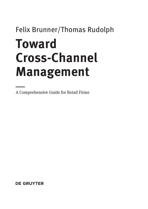# Felix Brunner/Thomas Rudolph **Toward Cross-Channel Management**

— A Comprehensive Guide for Retail Firms

**DE GRUYTER**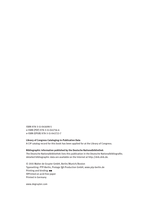ISBN 978-3-11-041698-5 e-ISBN (PDF) 978-3-11-041716-6 e-ISBN (EPUB) 978-3-11-041722-7

#### **Library of Congress Cataloging-in-Publication Data**

A CIP catalog record for this book has been applied for at the Library of Congress.

#### **Bibliographic information published by the Deutsche Nationalbibliothek**

The Deutsche Nationalbibliothek lists this publication in the Deutsche Nationalbibliografie; detailed bibliographic data are available on the Internet at http://dnb.dnb.de.

© 2015 Walter de Gruyter GmbH, Berlin/Munich/Boston Typesetting: PTP-Berlin, Protago TEX-Production GmbH, www.ptp-berlin.de Printing and binding: ■■ ♾Printed on acid-free paper Printed in Germany

www.degruyter.com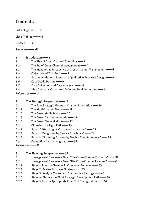## **Contents**

**List of Figures**|**vii**

List of Tables **-** viii

**Preface**|**xi**

```
Summary|xiii
```
#### 1 Introduction ––1

- 1.1 The Rise of Cross-Channel Shopping  $\longrightarrow$  1
- 1.2 The Era of Cross-Channel Management|**4**
- 1.3 The Managerial Perspective of Cross-Channel Management|**6**
- 1.4 Objectives of This Book **-- 7**
- 1.5 Recommendations Based on a Qualitative Research Design|**9**
- 1.6 Case Study Design  $\rightarrow$  9
- 1.7 Data Collection and Data Analysis **-10**
- 1.8 Nine Company Cases from Different Retail Industries|**11**

References|**14**

### **2 The Strategic Perspective**|**17**

- 2.1 The Four Strategic Modes of Channel Integration|**18**
- 2.1.1 The Multi-Channel Mode **-19**
- 2.1.2 The Cross-Media Mode<sup>1</sup> 20
- 2.1.3 The Cross-Distribution Mode<sup>-1</sup>21
- 2.1.4 The Cross-Channel Mode **-- 22**
- 2.2 Choosing the Right Path|**23**
- 2.2.1 Path I: "Attracting by Customer Inspiration" 23
- 2.2.2 Path II: "Delighting by Service Excellence" 26
- 2.2.3 Path III: "Sprinting Forward by Moving Simultaneously"|**29**
- 2.3 Competing for the Long Haul **49.32**
- References|**35**

## **3 The Planning Perspective**|**37**

- 3.1 Management Framework One: "The Cross-Channel Evaluator"|**37**
- 3.2 Management Framework Two: "The Cross-Channel Flywheel"|**41**
- 3.2.1 Stage 1: Identify Changes in Consumer Behavior|**43**
- 3.2.2 Stage 2: Review Business Strategy|**45**
- 3.2.3 Stage 3: Analyze Market and Competitive Settings|**46**
- 3.2.4 Stage 4: Choose the Right Strategic Development Path|**49**
- 3.2.5 Stage 5: Ensure Appropriate Front End Configuration|**50**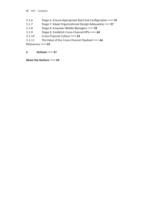**vi**  $\longrightarrow$  Contents

- 3.2.6 Stage 6: Ensure Appropriate Back End Configuration|**55**
- 3.2.7 Stage 7: Adapt Organizational Design Adequately|**57**
- 3.2.8 Stage 8: Empower Middle Managers|**59**
- 3.2.9 Stage 9: Establish Cross-Channel KPIs|**60**
- 3.2.10 Cross-Channel Culture|**63**
- 3.2.11 The Value of the Cross-Channel Flywheel|**64**

References|**65**

**4 Outlook**|**67**

**About the Authors**|**69**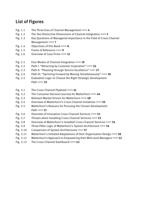# **List of Figures**

- Fig. 1.1 The Three Eras of Channel Management  **4**
- Fig. 1.2 The Two Distinctive Dimensions of Channel Integration|**5**
- Fig. 1.3 Key Questions of Managerial Importance in the Field of Cross-Channel Management **-- 7**
- Fig. 1.4 Objectives of this Book **-8**
- Fig. 1.5 Frame of Reference **--9**
- Fig. 1.6 Overview of Case Firms|**12**
- Fig. 2.1 Four Modes of Channel Integration|**19**
- Fig. 2.2 Path I: "Attracting by Customer Inspiration" 24
- Fig. 2.3 Path II: "Pleasing through Service Excellence"|**27**
- Fig. 2.4 Path III: "Sprinting Forward by Moving Simultaneously"|**30**
- Fig. 2.5 Evaluation Logic to Choose the Right Strategic Development Path **33**
- Fig. 3.1 The Cross-Channel Flywheel -- 41
- Fig. 3.2 The Consumer Decision Journey for Matterhorn|**44**
- Fig. 3.3 Relevant Market Drivers for Matterhorn|**48**
- Fig. 3.4 Overview of Matterhorn's Cross-Channel Initiatives|**50**
- Fig. 3.5 Matterhorn's Reasons for Pursuing the Chosen Development Path **-61**
- Fig. 3.6 Overview of Innovative Cross-Channel Services|**52**
- Fig. 3.7 Threats when Installing Cross-Channel Services|**53**
- Fig. 3.8 Overview of Matterhorn's Installed Cross-Channel Services|**54**
- Fig. 3.9 Three-Pillar Logic of Matterhorn's System Architecture|**56**
- Fig. 3.10 Comparison of System Architectures|**57**
- Fig. 3.11 Matterhorn's Initiated Adaptations of their Organization Design|**58**
- Fig. 3.12 Matterhorn's Approach to Empowering their Mid-Level Managers|**61**
- Fig. 3.13 The Cross-Channel Dashboard|**62**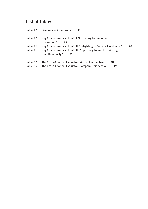# **List of Tables**

|                        | Table 1.1 Overview of Case Firms – 13                                                                                                                         |
|------------------------|---------------------------------------------------------------------------------------------------------------------------------------------------------------|
| Table 2.1              | Key Characteristics of Path I "Attracting by Customer<br>Inspiration" $\longrightarrow$ 25                                                                    |
| Table 2.2<br>Table 2.3 | Key Characteristics of Path II "Delighting by Service Excellence" -28<br>Key Characteristics of Path III: "Sprinting Forward by Moving<br>Simultaneously" -81 |
| Table 3.1              | The Cross-Channel Evaluator: Market Perspective - 38                                                                                                          |

Table 3.2 The Cross-Channel Evaluator: Company Perspective|**39**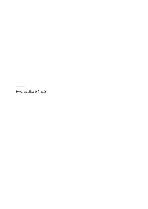To our families & friends

—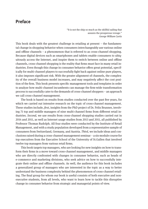## **Preface**

"It is not the ship so much as the skillful sailing that assures the prosperous vovage." *George William Curtis*

This book deals with the greatest challenge in retailing at present – the fundamental change in shopping behavior when consumers interchangeably use various online and offline channels – a phenomenon that is referred to as cross-channel shopping. Because digital devices such as smartphones and tablets enable consumers to ubiquitously access the Internet, and inspire them to switch between online and offline channels, cross-channel shopping is the reality that firms must face in many retail industries. Even though this change in consumer behavior offers great potential, specifically for multi-channel players to successfully fight back against online pure players, it also imposes significant risk. With the greater alignment of channels, the complexity of the overall business model increases, and may negatively affect the cost position of the firm. This book presents specific management tools and templates in order to analyze how multi-channel incumbents can manage the firm-wide transformation process to successfully cater to the demands of cross-channel shoppers – an approach we call cross-channel management.

The book is based on results from studies conducted over the past five years, for which we carried out intensive research on the topic of cross-channel management. These studies include, *first,* insights from the PhD project of Dr. Felix Brunner, involving 71 top and middle managers of nine multi-channel firms from different retail industries. *Second*, we use results from cross-channel shopping studies carried out in 2014 and 2011, as well as Internet usage studies from 2013 and 2011, all published by Professor Thomas Rudolph. All four studies were conducted by the Institute of Retail Management, and with a study population developed from a representative sample of consumers from Switzerland, Germany, and Austria. *Third*, we include ideas and conclusions raised during a cross-channel management seminar – a six-module course for top executives from the Executive School of the University of St.Gallen that involved twelve top managers from various retail firms.

This book targets top managers, who are looking for new insights on how to transform their firms in a move toward cross-channel management, and middle managers who are directly confronted with changes in consumer behavior, such as heads of e-commerce and marketing divisions, who seek advice on how to successfully integrate their online and offline channels. As well, the audience for this book includes a generalized group of managers who are interested in the topic as a way to better understand the business complexity behind the phenomenon of cross-channel retailing. The final group for whom our book is useful consists of both executive and nonexecutive students, from all levels, who want to learn how to tackle this disruptive change in consumer behavior from strategic and managerial points of view.